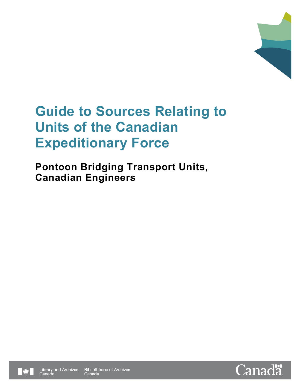

**Pontoon Bridging Transport Units, Canadian Engineers**



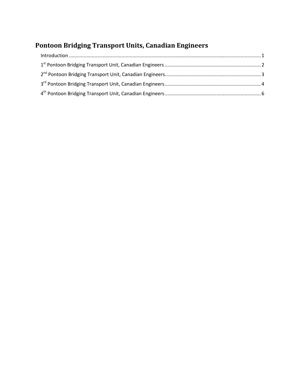# **Pontoon Bridging Transport Units, Canadian Engineers**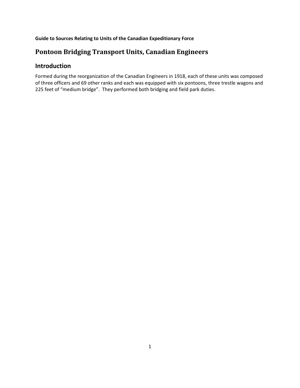# **Pontoon Bridging Transport Units, Canadian Engineers**

# <span id="page-2-0"></span>**Introduction**

Formed during the reorganization of the Canadian Engineers in 1918, each of these units was composed of three officers and 69 other ranks and each was equipped with six pontoons, three trestle wagons and 225 feet of "medium bridge". They performed both bridging and field park duties.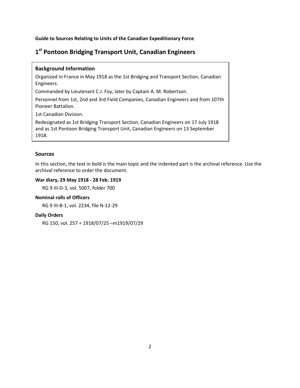# <span id="page-3-0"></span>**1st Pontoon Bridging Transport Unit, Canadian Engineers**

## **Background Information**

Organized in France in May 1918 as the 1st Bridging and Transport Section, Canadian Engineers.

Commanded by Lieutenant C.J. Foy, later by Captain A. M. Robertson.

Personnel from 1st, 2nd and 3rd Field Companies, Canadian Engineers and from 107th Pioneer Battalion.

1st Canadian Division.

Redesignated as 1st Bridging Transport Section, Canadian Engineers on 17 July 1918 and as 1st Pontoon Bridging Transport Unit, Canadian Engineers on 13 September 1918.

#### **Sources**

In this section, the text in bold is the main topic and the indented part is the archival reference. Use the archival reference to order the document.

#### **War diary, 29 May 1918 - 28 Feb. 1919**

RG 9 III-D-3, vol. 5007, folder 700

#### **Nominal rolls of Officers**

RG 9 III-B-1, vol. 2234, file N-12-29

#### **Daily Orders**

RG 150, vol. 257 = 1918/07/25 –m1919/07/29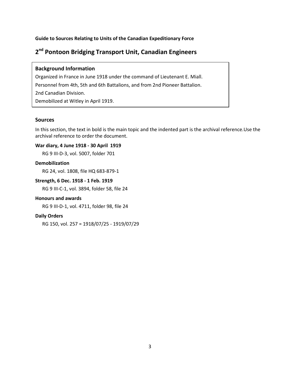# <span id="page-4-0"></span>**2nd Pontoon Bridging Transport Unit, Canadian Engineers**

### **Background Information**

Organized in France in June 1918 under the command of Lieutenant E. Miall. Personnel from 4th, 5th and 6th Battalions, and from 2nd Pioneer Battalion. 2nd Canadian Division. Demobilized at Witley in April 1919.

## **Sources**

In this section, the text in bold is the main topic and the indented part is the archival reference.Use the archival reference to order the document.

## **War diary, 4 June 1918 - 30 April 1919**

RG 9 III-D-3, vol. 5007, folder 701

#### **Demobilization**

RG 24, vol. 1808, file HQ 683-879-1

## **Strength, 6 Dec. 1918 - 1 Feb. 1919**

RG 9 III-C-1, vol. 3894, folder 58, file 24

#### **Honours and awards**

RG 9 III-D-1, vol. 4711, folder 98, file 24

#### **Daily Orders**

RG 150, vol. 257 = 1918/07/25 - 1919/07/29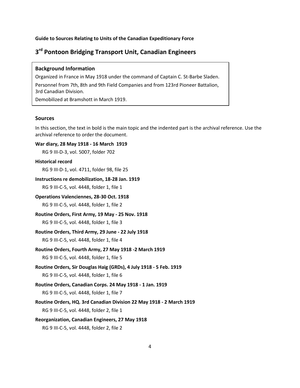# <span id="page-5-0"></span>**3rd Pontoon Bridging Transport Unit, Canadian Engineers**

#### **Background Information**

Organized in France in May 1918 under the command of Captain C. St-Barbe Sladen. Personnel from 7th, 8th and 9th Field Companies and from 123rd Pioneer Battalion, 3rd Canadian Division.

Demobilized at Bramshott in March 1919.

#### **Sources**

In this section, the text in bold is the main topic and the indented part is the archival reference. Use the archival reference to order the document.

#### **War diary, 28 May 1918 - 16 March 1919**

RG 9 III-D-3, vol. 5007, folder 702

#### **Historical record**

RG 9 III-D-1, vol. 4711, folder 98, file 25

#### **Instructions re demobilization, 18-28 Jan. 1919**

RG 9 III-C-5, vol. 4448, folder 1, file 1

# **Operations Valenciennes, 28-30 Oct. 1918**

RG 9 III-C-5, vol. 4448, folder 1, file 2

#### **Routine Orders, First Army, 19 May - 25 Nov. 1918**

RG 9 III-C-5, vol. 4448, folder 1, file 3

#### **Routine Orders, Third Army, 29 June - 22 July 1918**

RG 9 III-C-5, vol. 4448, folder 1, file 4

#### **Routine Orders, Fourth Army, 27 May 1918 -2 March 1919**

RG 9 III-C-5, vol. 4448, folder 1, file 5

**Routine Orders, Sir Douglas Haig (GRDs), 4 July 1918 - 5 Feb. 1919** RG 9 III-C-5, vol. 4448, folder 1, file 6

#### **Routine Orders, Canadian Corps. 24 May 1918 - 1 Jan. 1919**

RG 9 III-C-5, vol. 4448, folder 1, file 7

**Routine Orders, HQ. 3rd Canadian Division 22 May 1918 - 2 March 1919** RG 9 III-C-5, vol. 4448, folder 2, file 1

## **Reorganization, Canadian Engineers, 27 May 1918**

RG 9 III-C-5, vol. 4448, folder 2, file 2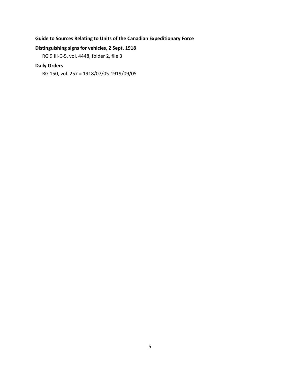## **Distinguishing signs for vehicles, 2 Sept. 1918**

RG 9 III-C-5, vol. 4448, folder 2, file 3

# **Daily Orders**

RG 150, vol. 257 = 1918/07/05-1919/09/05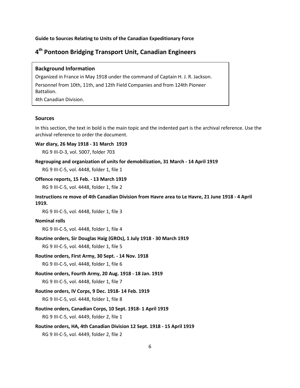# <span id="page-7-0"></span>**4th Pontoon Bridging Transport Unit, Canadian Engineers**

#### **Background Information**

Organized in France in May 1918 under the command of Captain H. J. R. Jackson. Personnel from 10th, 11th, and 12th Field Companies and from 124th Pioneer Battalion.

4th Canadian Division.

#### **Sources**

In this section, the text in bold is the main topic and the indented part is the archival reference. Use the archival reference to order the document.

#### **War diary, 26 May 1918 - 31 March 1919**

RG 9 III-D-3, vol. 5007, folder 703

#### **Regrouping and organization of units for demobilization, 31 March - 14 April 1919**

RG 9 III-C-5, vol. 4448, folder 1, file 1

#### **Offence reports, 15 Feb. - 13 March 1919**

RG 9 III-C-5, vol. 4448, folder 1, file 2

## **Instructions re move of 4th Canadian Division from Havre area to Le Havre, 21 June 1918 - 4 April 1919.**

RG 9 III-C-5, vol. 4448, folder 1, file 3

#### **Nominal rolls**

RG 9 III-C-5, vol. 4448, folder 1, file 4

#### **Routine orders, Sir Douglas Haig (GROs), 1 July 1918 - 30 March 1919**

RG 9 III-C-5, vol. 4448, folder 1, file 5

#### **Routine orders, First Army, 30 Sept. - 14 Nov. 1918**

RG 9 III-C-5, vol. 4448, folder 1, file 6

## **Routine orders, Fourth Army, 20 Aug. 1918 - 18 Jan. 1919**

RG 9 III-C-5, vol. 4448, folder 1, file 7

#### **Routine orders, IV Corps, 9 Dec. 1918- 14 Feb. 1919**

RG 9 III-C-5, vol. 4448, folder 1, file 8

#### **Routine orders, Canadian Corps, 10 Sept. 1918- 1 April 1919**

RG 9 III-C-5, vol. 4449, folder 2, file 1

# **Routine orders, HA, 4th Canadian Division 12 Sept. 1918 - 15 April 1919** RG 9 III-C-5, vol. 4449, folder 2, file 2